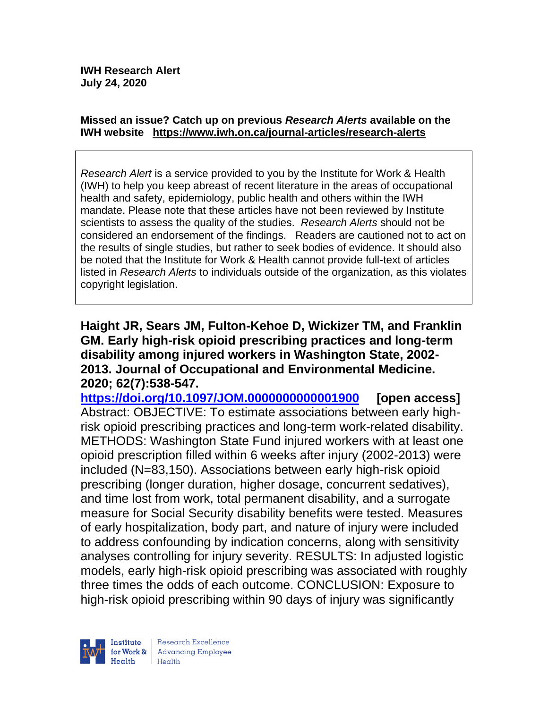#### **Missed an issue? Catch up on previous** *Research Alerts* **available on the [IWH website](http://www.iwh.on.ca/research-alerts) <https://www.iwh.on.ca/journal-articles/research-alerts>**

*Research Alert* is a service provided to you by the Institute for Work & Health (IWH) to help you keep abreast of recent literature in the areas of occupational health and safety, epidemiology, public health and others within the IWH mandate. Please note that these articles have not been reviewed by Institute scientists to assess the quality of the studies. *Research Alerts* should not be considered an endorsement of the findings. Readers are cautioned not to act on the results of single studies, but rather to seek bodies of evidence. It should also be noted that the Institute for Work & Health cannot provide full-text of articles listed in *Research Alerts* to individuals outside of the organization, as this violates copyright legislation.

**Haight JR, Sears JM, Fulton-Kehoe D, Wickizer TM, and Franklin GM. Early high-risk opioid prescribing practices and long-term disability among injured workers in Washington State, 2002- 2013. Journal of Occupational and Environmental Medicine. 2020; 62(7):538-547.** 

**<https://doi.org/10.1097/JOM.0000000000001900> [open access]** Abstract: OBJECTIVE: To estimate associations between early highrisk opioid prescribing practices and long-term work-related disability. METHODS: Washington State Fund injured workers with at least one opioid prescription filled within 6 weeks after injury (2002-2013) were included (N=83,150). Associations between early high-risk opioid prescribing (longer duration, higher dosage, concurrent sedatives), and time lost from work, total permanent disability, and a surrogate measure for Social Security disability benefits were tested. Measures of early hospitalization, body part, and nature of injury were included to address confounding by indication concerns, along with sensitivity analyses controlling for injury severity. RESULTS: In adjusted logistic models, early high-risk opioid prescribing was associated with roughly three times the odds of each outcome. CONCLUSION: Exposure to high-risk opioid prescribing within 90 days of injury was significantly



Research Excellence for Work & Advancing Employee  $H$ ealth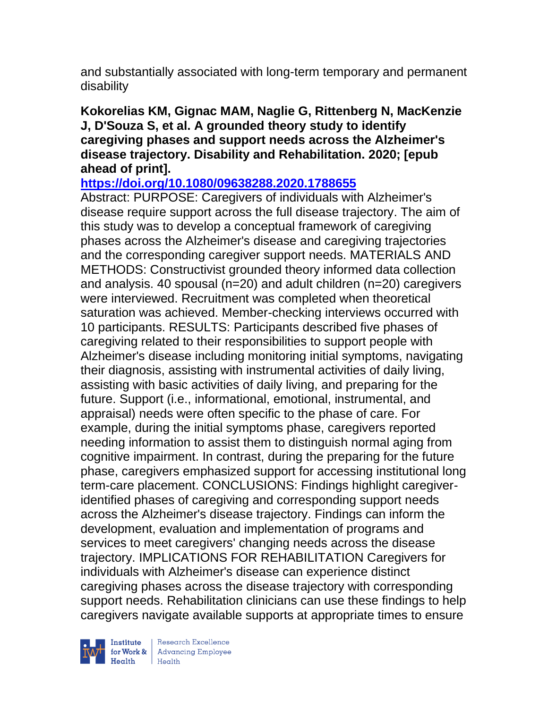and substantially associated with long-term temporary and permanent disability

### **Kokorelias KM, Gignac MAM, Naglie G, Rittenberg N, MacKenzie J, D'Souza S, et al. A grounded theory study to identify caregiving phases and support needs across the Alzheimer's disease trajectory. Disability and Rehabilitation. 2020; [epub ahead of print].**

**<https://doi.org/10.1080/09638288.2020.1788655>** 

Abstract: PURPOSE: Caregivers of individuals with Alzheimer's disease require support across the full disease trajectory. The aim of this study was to develop a conceptual framework of caregiving phases across the Alzheimer's disease and caregiving trajectories and the corresponding caregiver support needs. MATERIALS AND METHODS: Constructivist grounded theory informed data collection and analysis. 40 spousal (n=20) and adult children (n=20) caregivers were interviewed. Recruitment was completed when theoretical saturation was achieved. Member-checking interviews occurred with 10 participants. RESULTS: Participants described five phases of caregiving related to their responsibilities to support people with Alzheimer's disease including monitoring initial symptoms, navigating their diagnosis, assisting with instrumental activities of daily living, assisting with basic activities of daily living, and preparing for the future. Support (i.e., informational, emotional, instrumental, and appraisal) needs were often specific to the phase of care. For example, during the initial symptoms phase, caregivers reported needing information to assist them to distinguish normal aging from cognitive impairment. In contrast, during the preparing for the future phase, caregivers emphasized support for accessing institutional long term-care placement. CONCLUSIONS: Findings highlight caregiveridentified phases of caregiving and corresponding support needs across the Alzheimer's disease trajectory. Findings can inform the development, evaluation and implementation of programs and services to meet caregivers' changing needs across the disease trajectory. IMPLICATIONS FOR REHABILITATION Caregivers for individuals with Alzheimer's disease can experience distinct caregiving phases across the disease trajectory with corresponding support needs. Rehabilitation clinicians can use these findings to help caregivers navigate available supports at appropriate times to ensure

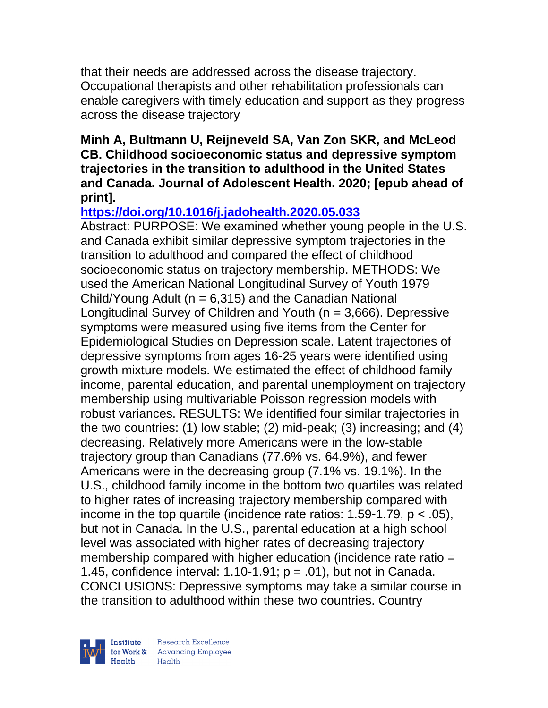that their needs are addressed across the disease trajectory. Occupational therapists and other rehabilitation professionals can enable caregivers with timely education and support as they progress across the disease trajectory

### **Minh A, Bultmann U, Reijneveld SA, Van Zon SKR, and McLeod CB. Childhood socioeconomic status and depressive symptom trajectories in the transition to adulthood in the United States and Canada. Journal of Adolescent Health. 2020; [epub ahead of print].**

# **<https://doi.org/10.1016/j.jadohealth.2020.05.033>**

Abstract: PURPOSE: We examined whether young people in the U.S. and Canada exhibit similar depressive symptom trajectories in the transition to adulthood and compared the effect of childhood socioeconomic status on trajectory membership. METHODS: We used the American National Longitudinal Survey of Youth 1979 Child/Young Adult ( $n = 6,315$ ) and the Canadian National Longitudinal Survey of Children and Youth (n = 3,666). Depressive symptoms were measured using five items from the Center for Epidemiological Studies on Depression scale. Latent trajectories of depressive symptoms from ages 16-25 years were identified using growth mixture models. We estimated the effect of childhood family income, parental education, and parental unemployment on trajectory membership using multivariable Poisson regression models with robust variances. RESULTS: We identified four similar trajectories in the two countries: (1) low stable; (2) mid-peak; (3) increasing; and (4) decreasing. Relatively more Americans were in the low-stable trajectory group than Canadians (77.6% vs. 64.9%), and fewer Americans were in the decreasing group (7.1% vs. 19.1%). In the U.S., childhood family income in the bottom two quartiles was related to higher rates of increasing trajectory membership compared with income in the top quartile (incidence rate ratios:  $1.59-1.79$ ,  $p < .05$ ), but not in Canada. In the U.S., parental education at a high school level was associated with higher rates of decreasing trajectory membership compared with higher education (incidence rate ratio = 1.45, confidence interval: 1.10-1.91;  $p = .01$ ), but not in Canada. CONCLUSIONS: Depressive symptoms may take a similar course in the transition to adulthood within these two countries. Country

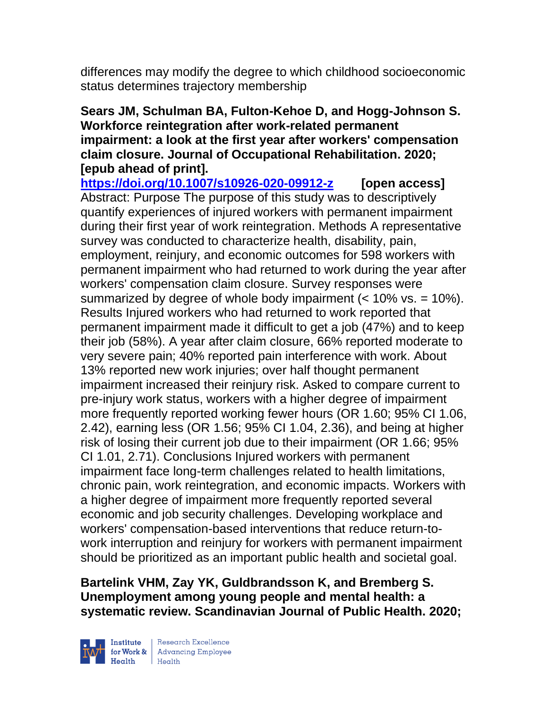differences may modify the degree to which childhood socioeconomic status determines trajectory membership

### **Sears JM, Schulman BA, Fulton-Kehoe D, and Hogg-Johnson S. Workforce reintegration after work-related permanent impairment: a look at the first year after workers' compensation claim closure. Journal of Occupational Rehabilitation. 2020; [epub ahead of print].**

**<https://doi.org/10.1007/s10926-020-09912-z> [open access]** Abstract: Purpose The purpose of this study was to descriptively quantify experiences of injured workers with permanent impairment during their first year of work reintegration. Methods A representative survey was conducted to characterize health, disability, pain, employment, reinjury, and economic outcomes for 598 workers with permanent impairment who had returned to work during the year after workers' compensation claim closure. Survey responses were summarized by degree of whole body impairment  $(< 10\%$  vs. = 10%). Results Injured workers who had returned to work reported that permanent impairment made it difficult to get a job (47%) and to keep their job (58%). A year after claim closure, 66% reported moderate to very severe pain; 40% reported pain interference with work. About 13% reported new work injuries; over half thought permanent impairment increased their reinjury risk. Asked to compare current to pre-injury work status, workers with a higher degree of impairment more frequently reported working fewer hours (OR 1.60; 95% CI 1.06, 2.42), earning less (OR 1.56; 95% CI 1.04, 2.36), and being at higher risk of losing their current job due to their impairment (OR 1.66; 95% CI 1.01, 2.71). Conclusions Injured workers with permanent impairment face long-term challenges related to health limitations, chronic pain, work reintegration, and economic impacts. Workers with a higher degree of impairment more frequently reported several economic and job security challenges. Developing workplace and workers' compensation-based interventions that reduce return-towork interruption and reinjury for workers with permanent impairment should be prioritized as an important public health and societal goal.

**Bartelink VHM, Zay YK, Guldbrandsson K, and Bremberg S. Unemployment among young people and mental health: a systematic review. Scandinavian Journal of Public Health. 2020;** 

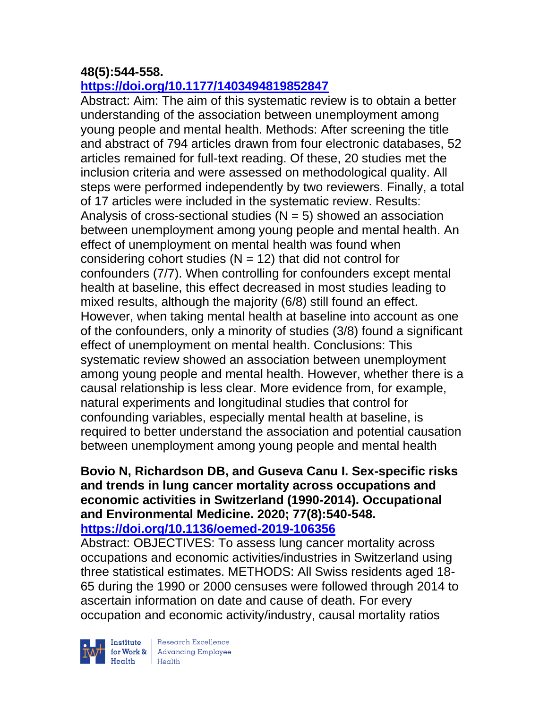# **48(5):544-558.**

### **<https://doi.org/10.1177/1403494819852847>**

Abstract: Aim: The aim of this systematic review is to obtain a better understanding of the association between unemployment among young people and mental health. Methods: After screening the title and abstract of 794 articles drawn from four electronic databases, 52 articles remained for full-text reading. Of these, 20 studies met the inclusion criteria and were assessed on methodological quality. All steps were performed independently by two reviewers. Finally, a total of 17 articles were included in the systematic review. Results: Analysis of cross-sectional studies  $(N = 5)$  showed an association between unemployment among young people and mental health. An effect of unemployment on mental health was found when considering cohort studies  $(N = 12)$  that did not control for confounders (7/7). When controlling for confounders except mental health at baseline, this effect decreased in most studies leading to mixed results, although the majority (6/8) still found an effect. However, when taking mental health at baseline into account as one of the confounders, only a minority of studies (3/8) found a significant effect of unemployment on mental health. Conclusions: This systematic review showed an association between unemployment among young people and mental health. However, whether there is a causal relationship is less clear. More evidence from, for example, natural experiments and longitudinal studies that control for confounding variables, especially mental health at baseline, is required to better understand the association and potential causation between unemployment among young people and mental health

#### **Bovio N, Richardson DB, and Guseva Canu I. Sex-specific risks and trends in lung cancer mortality across occupations and economic activities in Switzerland (1990-2014). Occupational and Environmental Medicine. 2020; 77(8):540-548. <https://doi.org/10.1136/oemed-2019-106356>**

Abstract: OBJECTIVES: To assess lung cancer mortality across occupations and economic activities/industries in Switzerland using three statistical estimates. METHODS: All Swiss residents aged 18- 65 during the 1990 or 2000 censuses were followed through 2014 to ascertain information on date and cause of death. For every occupation and economic activity/industry, causal mortality ratios

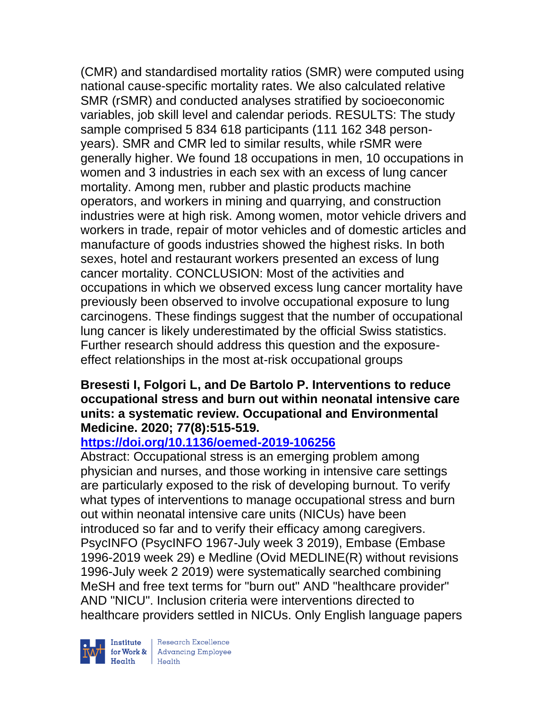(CMR) and standardised mortality ratios (SMR) were computed using national cause-specific mortality rates. We also calculated relative SMR (rSMR) and conducted analyses stratified by socioeconomic variables, job skill level and calendar periods. RESULTS: The study sample comprised 5 834 618 participants (111 162 348 personyears). SMR and CMR led to similar results, while rSMR were generally higher. We found 18 occupations in men, 10 occupations in women and 3 industries in each sex with an excess of lung cancer mortality. Among men, rubber and plastic products machine operators, and workers in mining and quarrying, and construction industries were at high risk. Among women, motor vehicle drivers and workers in trade, repair of motor vehicles and of domestic articles and manufacture of goods industries showed the highest risks. In both sexes, hotel and restaurant workers presented an excess of lung cancer mortality. CONCLUSION: Most of the activities and occupations in which we observed excess lung cancer mortality have previously been observed to involve occupational exposure to lung carcinogens. These findings suggest that the number of occupational lung cancer is likely underestimated by the official Swiss statistics. Further research should address this question and the exposureeffect relationships in the most at-risk occupational groups

### **Bresesti I, Folgori L, and De Bartolo P. Interventions to reduce occupational stress and burn out within neonatal intensive care units: a systematic review. Occupational and Environmental Medicine. 2020; 77(8):515-519.**

# **<https://doi.org/10.1136/oemed-2019-106256>**

Abstract: Occupational stress is an emerging problem among physician and nurses, and those working in intensive care settings are particularly exposed to the risk of developing burnout. To verify what types of interventions to manage occupational stress and burn out within neonatal intensive care units (NICUs) have been introduced so far and to verify their efficacy among caregivers. PsycINFO (PsycINFO 1967-July week 3 2019), Embase (Embase 1996-2019 week 29) e Medline (Ovid MEDLINE(R) without revisions 1996-July week 2 2019) were systematically searched combining MeSH and free text terms for "burn out" AND "healthcare provider" AND "NICU". Inclusion criteria were interventions directed to healthcare providers settled in NICUs. Only English language papers

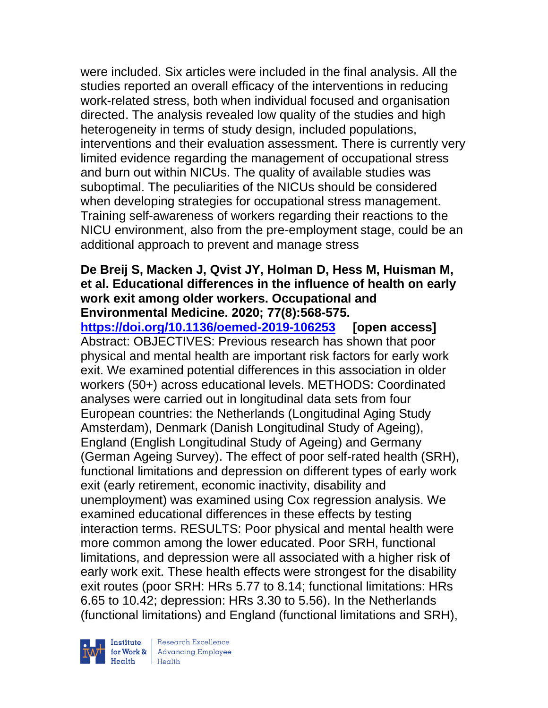were included. Six articles were included in the final analysis. All the studies reported an overall efficacy of the interventions in reducing work-related stress, both when individual focused and organisation directed. The analysis revealed low quality of the studies and high heterogeneity in terms of study design, included populations, interventions and their evaluation assessment. There is currently very limited evidence regarding the management of occupational stress and burn out within NICUs. The quality of available studies was suboptimal. The peculiarities of the NICUs should be considered when developing strategies for occupational stress management. Training self-awareness of workers regarding their reactions to the NICU environment, also from the pre-employment stage, could be an additional approach to prevent and manage stress

### **De Breij S, Macken J, Qvist JY, Holman D, Hess M, Huisman M, et al. Educational differences in the influence of health on early work exit among older workers. Occupational and Environmental Medicine. 2020; 77(8):568-575.**

**<https://doi.org/10.1136/oemed-2019-106253> [open access]** Abstract: OBJECTIVES: Previous research has shown that poor physical and mental health are important risk factors for early work exit. We examined potential differences in this association in older workers (50+) across educational levels. METHODS: Coordinated analyses were carried out in longitudinal data sets from four European countries: the Netherlands (Longitudinal Aging Study Amsterdam), Denmark (Danish Longitudinal Study of Ageing), England (English Longitudinal Study of Ageing) and Germany (German Ageing Survey). The effect of poor self-rated health (SRH), functional limitations and depression on different types of early work exit (early retirement, economic inactivity, disability and unemployment) was examined using Cox regression analysis. We examined educational differences in these effects by testing interaction terms. RESULTS: Poor physical and mental health were more common among the lower educated. Poor SRH, functional limitations, and depression were all associated with a higher risk of early work exit. These health effects were strongest for the disability exit routes (poor SRH: HRs 5.77 to 8.14; functional limitations: HRs 6.65 to 10.42; depression: HRs 3.30 to 5.56). In the Netherlands (functional limitations) and England (functional limitations and SRH),



Institute Research Excellence<br>for Work & Advancing Employee<br>Health Health Health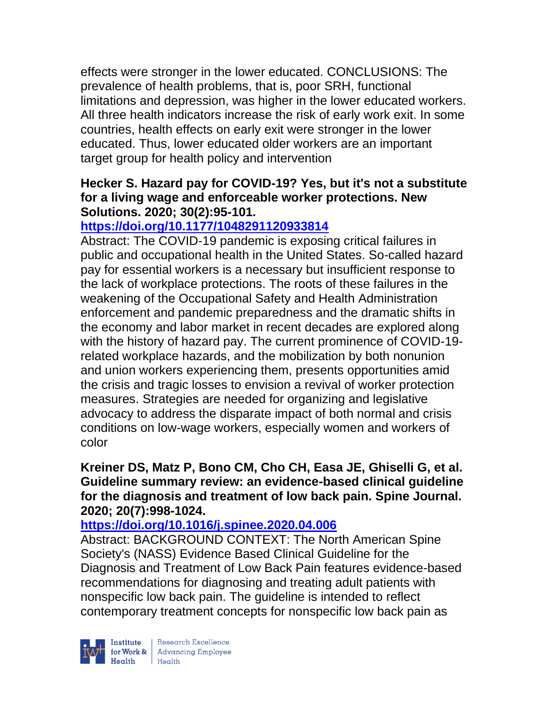effects were stronger in the lower educated. CONCLUSIONS: The prevalence of health problems, that is, poor SRH, functional limitations and depression, was higher in the lower educated workers. All three health indicators increase the risk of early work exit. In some countries, health effects on early exit were stronger in the lower educated. Thus, lower educated older workers are an important target group for health policy and intervention

### **Hecker S. Hazard pay for COVID-19? Yes, but it's not a substitute for a living wage and enforceable worker protections. New Solutions. 2020; 30(2):95-101.**

# **<https://doi.org/10.1177/1048291120933814>**

Abstract: The COVID-19 pandemic is exposing critical failures in public and occupational health in the United States. So-called hazard pay for essential workers is a necessary but insufficient response to the lack of workplace protections. The roots of these failures in the weakening of the Occupational Safety and Health Administration enforcement and pandemic preparedness and the dramatic shifts in the economy and labor market in recent decades are explored along with the history of hazard pay. The current prominence of COVID-19 related workplace hazards, and the mobilization by both nonunion and union workers experiencing them, presents opportunities amid the crisis and tragic losses to envision a revival of worker protection measures. Strategies are needed for organizing and legislative advocacy to address the disparate impact of both normal and crisis conditions on low-wage workers, especially women and workers of color

#### **Kreiner DS, Matz P, Bono CM, Cho CH, Easa JE, Ghiselli G, et al. Guideline summary review: an evidence-based clinical guideline for the diagnosis and treatment of low back pain. Spine Journal. 2020; 20(7):998-1024.**

# **<https://doi.org/10.1016/j.spinee.2020.04.006>**

Abstract: BACKGROUND CONTEXT: The North American Spine Society's (NASS) Evidence Based Clinical Guideline for the Diagnosis and Treatment of Low Back Pain features evidence-based recommendations for diagnosing and treating adult patients with nonspecific low back pain. The guideline is intended to reflect contemporary treatment concepts for nonspecific low back pain as

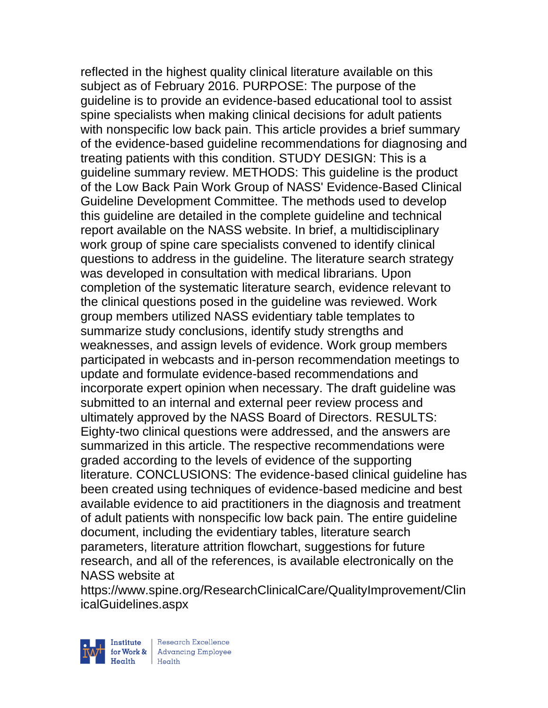reflected in the highest quality clinical literature available on this subject as of February 2016. PURPOSE: The purpose of the guideline is to provide an evidence-based educational tool to assist spine specialists when making clinical decisions for adult patients with nonspecific low back pain. This article provides a brief summary of the evidence-based guideline recommendations for diagnosing and treating patients with this condition. STUDY DESIGN: This is a guideline summary review. METHODS: This guideline is the product of the Low Back Pain Work Group of NASS' Evidence-Based Clinical Guideline Development Committee. The methods used to develop this guideline are detailed in the complete guideline and technical report available on the NASS website. In brief, a multidisciplinary work group of spine care specialists convened to identify clinical questions to address in the guideline. The literature search strategy was developed in consultation with medical librarians. Upon completion of the systematic literature search, evidence relevant to the clinical questions posed in the guideline was reviewed. Work group members utilized NASS evidentiary table templates to summarize study conclusions, identify study strengths and weaknesses, and assign levels of evidence. Work group members participated in webcasts and in-person recommendation meetings to update and formulate evidence-based recommendations and incorporate expert opinion when necessary. The draft guideline was submitted to an internal and external peer review process and ultimately approved by the NASS Board of Directors. RESULTS: Eighty-two clinical questions were addressed, and the answers are summarized in this article. The respective recommendations were graded according to the levels of evidence of the supporting literature. CONCLUSIONS: The evidence-based clinical guideline has been created using techniques of evidence-based medicine and best available evidence to aid practitioners in the diagnosis and treatment of adult patients with nonspecific low back pain. The entire guideline document, including the evidentiary tables, literature search parameters, literature attrition flowchart, suggestions for future research, and all of the references, is available electronically on the NASS website at

https://www.spine.org/ResearchClinicalCare/QualityImprovement/Clin icalGuidelines.aspx

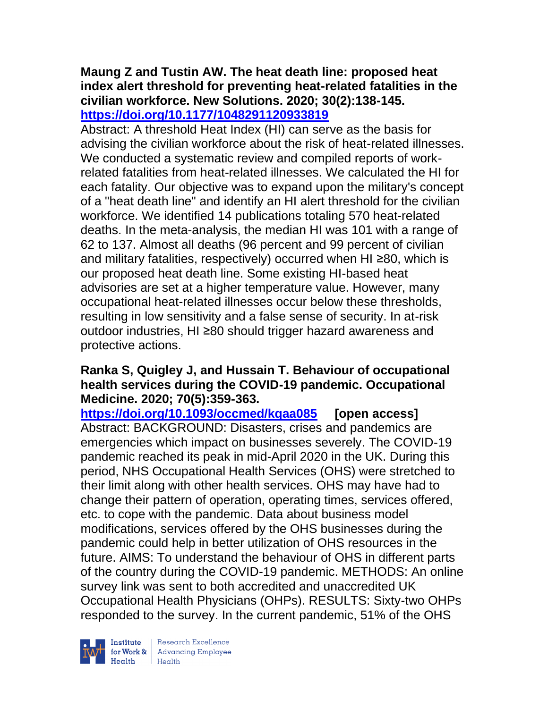#### **Maung Z and Tustin AW. The heat death line: proposed heat index alert threshold for preventing heat-related fatalities in the civilian workforce. New Solutions. 2020; 30(2):138-145. <https://doi.org/10.1177/1048291120933819>**

Abstract: A threshold Heat Index (HI) can serve as the basis for advising the civilian workforce about the risk of heat-related illnesses. We conducted a systematic review and compiled reports of workrelated fatalities from heat-related illnesses. We calculated the HI for each fatality. Our objective was to expand upon the military's concept of a "heat death line" and identify an HI alert threshold for the civilian workforce. We identified 14 publications totaling 570 heat-related deaths. In the meta-analysis, the median HI was 101 with a range of 62 to 137. Almost all deaths (96 percent and 99 percent of civilian and military fatalities, respectively) occurred when HI ≥80, which is our proposed heat death line. Some existing HI-based heat advisories are set at a higher temperature value. However, many occupational heat-related illnesses occur below these thresholds, resulting in low sensitivity and a false sense of security. In at-risk outdoor industries, HI ≥80 should trigger hazard awareness and protective actions.

### **Ranka S, Quigley J, and Hussain T. Behaviour of occupational health services during the COVID-19 pandemic. Occupational Medicine. 2020; 70(5):359-363.**

**<https://doi.org/10.1093/occmed/kqaa085> [open access]** Abstract: BACKGROUND: Disasters, crises and pandemics are emergencies which impact on businesses severely. The COVID-19 pandemic reached its peak in mid-April 2020 in the UK. During this period, NHS Occupational Health Services (OHS) were stretched to their limit along with other health services. OHS may have had to change their pattern of operation, operating times, services offered, etc. to cope with the pandemic. Data about business model modifications, services offered by the OHS businesses during the pandemic could help in better utilization of OHS resources in the future. AIMS: To understand the behaviour of OHS in different parts of the country during the COVID-19 pandemic. METHODS: An online survey link was sent to both accredited and unaccredited UK Occupational Health Physicians (OHPs). RESULTS: Sixty-two OHPs responded to the survey. In the current pandemic, 51% of the OHS



 $\begin{tabular}{|l|} Institute & Research Excellence \\ \hline for Work & Advancing Employee \\ Health & Health \\ \end{tabular}$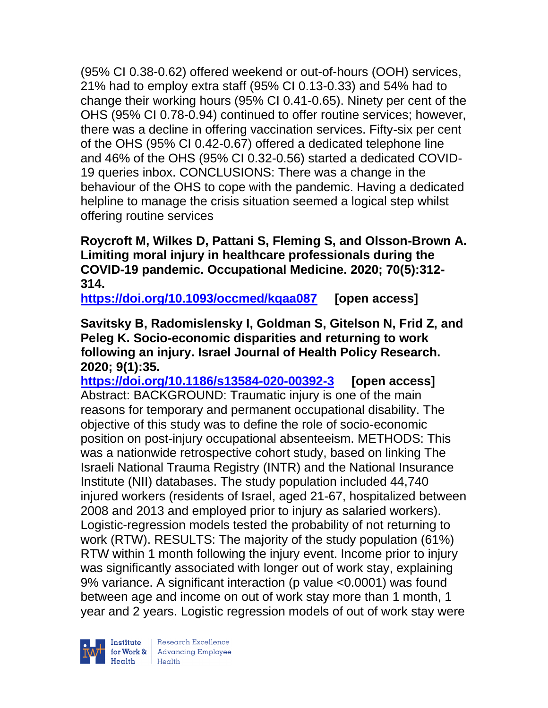(95% CI 0.38-0.62) offered weekend or out-of-hours (OOH) services, 21% had to employ extra staff (95% CI 0.13-0.33) and 54% had to change their working hours (95% CI 0.41-0.65). Ninety per cent of the OHS (95% CI 0.78-0.94) continued to offer routine services; however, there was a decline in offering vaccination services. Fifty-six per cent of the OHS (95% CI 0.42-0.67) offered a dedicated telephone line and 46% of the OHS (95% CI 0.32-0.56) started a dedicated COVID-19 queries inbox. CONCLUSIONS: There was a change in the behaviour of the OHS to cope with the pandemic. Having a dedicated helpline to manage the crisis situation seemed a logical step whilst offering routine services

**Roycroft M, Wilkes D, Pattani S, Fleming S, and Olsson-Brown A. Limiting moral injury in healthcare professionals during the COVID-19 pandemic. Occupational Medicine. 2020; 70(5):312- 314.** 

**<https://doi.org/10.1093/occmed/kqaa087> [open access]**

**Savitsky B, Radomislensky I, Goldman S, Gitelson N, Frid Z, and Peleg K. Socio-economic disparities and returning to work following an injury. Israel Journal of Health Policy Research. 2020; 9(1):35.**

**<https://doi.org/10.1186/s13584-020-00392-3> [open access]** Abstract: BACKGROUND: Traumatic injury is one of the main reasons for temporary and permanent occupational disability. The objective of this study was to define the role of socio-economic position on post-injury occupational absenteeism. METHODS: This was a nationwide retrospective cohort study, based on linking The Israeli National Trauma Registry (INTR) and the National Insurance Institute (NII) databases. The study population included 44,740 injured workers (residents of Israel, aged 21-67, hospitalized between 2008 and 2013 and employed prior to injury as salaried workers). Logistic-regression models tested the probability of not returning to work (RTW). RESULTS: The majority of the study population (61%) RTW within 1 month following the injury event. Income prior to injury was significantly associated with longer out of work stay, explaining 9% variance. A significant interaction (p value <0.0001) was found between age and income on out of work stay more than 1 month, 1 year and 2 years. Logistic regression models of out of work stay were

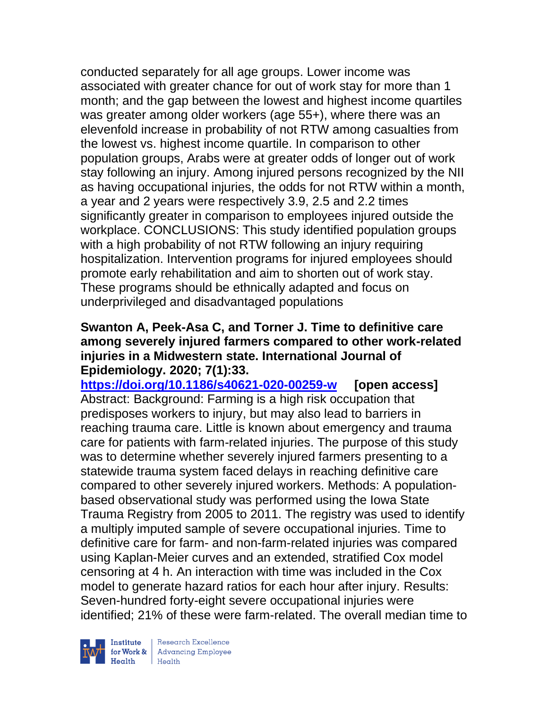conducted separately for all age groups. Lower income was associated with greater chance for out of work stay for more than 1 month; and the gap between the lowest and highest income quartiles was greater among older workers (age 55+), where there was an elevenfold increase in probability of not RTW among casualties from the lowest vs. highest income quartile. In comparison to other population groups, Arabs were at greater odds of longer out of work stay following an injury. Among injured persons recognized by the NII as having occupational injuries, the odds for not RTW within a month, a year and 2 years were respectively 3.9, 2.5 and 2.2 times significantly greater in comparison to employees injured outside the workplace. CONCLUSIONS: This study identified population groups with a high probability of not RTW following an injury requiring hospitalization. Intervention programs for injured employees should promote early rehabilitation and aim to shorten out of work stay. These programs should be ethnically adapted and focus on underprivileged and disadvantaged populations

#### **Swanton A, Peek-Asa C, and Torner J. Time to definitive care among severely injured farmers compared to other work-related injuries in a Midwestern state. International Journal of Epidemiology. 2020; 7(1):33.**

**<https://doi.org/10.1186/s40621-020-00259-w> [open access]** Abstract: Background: Farming is a high risk occupation that predisposes workers to injury, but may also lead to barriers in reaching trauma care. Little is known about emergency and trauma care for patients with farm-related injuries. The purpose of this study was to determine whether severely injured farmers presenting to a statewide trauma system faced delays in reaching definitive care compared to other severely injured workers. Methods: A populationbased observational study was performed using the Iowa State Trauma Registry from 2005 to 2011. The registry was used to identify a multiply imputed sample of severe occupational injuries. Time to definitive care for farm- and non-farm-related injuries was compared using Kaplan-Meier curves and an extended, stratified Cox model censoring at 4 h. An interaction with time was included in the Cox model to generate hazard ratios for each hour after injury. Results: Seven-hundred forty-eight severe occupational injuries were identified; 21% of these were farm-related. The overall median time to



| Research Excellence **Institute** Research Excellence<br> **Fractional Advancing Employee**<br> **Health** Health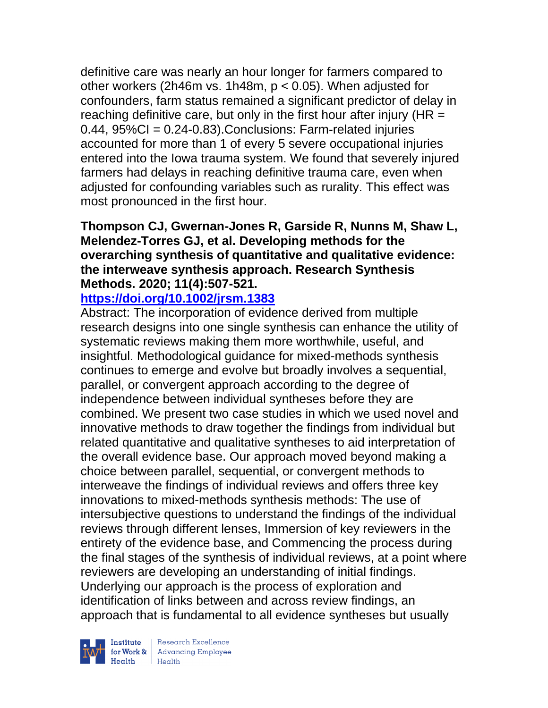definitive care was nearly an hour longer for farmers compared to other workers (2h46m vs. 1h48m, p < 0.05). When adjusted for confounders, farm status remained a significant predictor of delay in reaching definitive care, but only in the first hour after injury ( $HR =$  $0.44$ ,  $95\%$ CI =  $0.24$ - $0.83$ ). Conclusions: Farm-related injuries accounted for more than 1 of every 5 severe occupational injuries entered into the Iowa trauma system. We found that severely injured farmers had delays in reaching definitive trauma care, even when adjusted for confounding variables such as rurality. This effect was most pronounced in the first hour.

# **Thompson CJ, Gwernan-Jones R, Garside R, Nunns M, Shaw L, Melendez-Torres GJ, et al. Developing methods for the overarching synthesis of quantitative and qualitative evidence: the interweave synthesis approach. Research Synthesis Methods. 2020; 11(4):507-521.**

**<https://doi.org/10.1002/jrsm.1383>** 

Abstract: The incorporation of evidence derived from multiple research designs into one single synthesis can enhance the utility of systematic reviews making them more worthwhile, useful, and insightful. Methodological guidance for mixed-methods synthesis continues to emerge and evolve but broadly involves a sequential, parallel, or convergent approach according to the degree of independence between individual syntheses before they are combined. We present two case studies in which we used novel and innovative methods to draw together the findings from individual but related quantitative and qualitative syntheses to aid interpretation of the overall evidence base. Our approach moved beyond making a choice between parallel, sequential, or convergent methods to interweave the findings of individual reviews and offers three key innovations to mixed-methods synthesis methods: The use of intersubjective questions to understand the findings of the individual reviews through different lenses, Immersion of key reviewers in the entirety of the evidence base, and Commencing the process during the final stages of the synthesis of individual reviews, at a point where reviewers are developing an understanding of initial findings. Underlying our approach is the process of exploration and identification of links between and across review findings, an approach that is fundamental to all evidence syntheses but usually